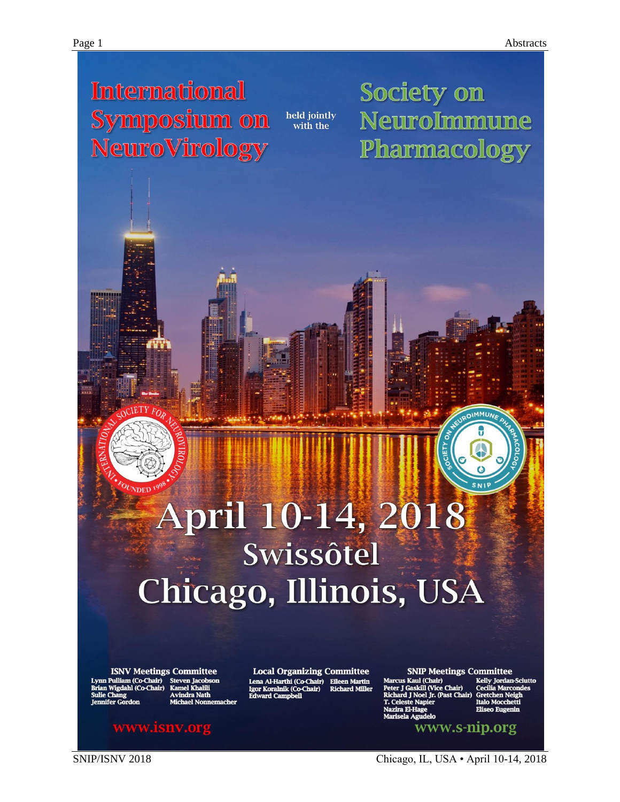# **International** Symposium on **NeuroVirology**

held jointly<br>with the

Society on NeuroImmune Pharmacology

# April 10-14, 2018 Swissôtel Chicago, Illinois, USA

**ISNV Meetings Committee** m (Co-Chair) (Co-Chair

**Local Organizing Committee** Lena Al-Harthi (Co-Chair) **Eileen Martin** gor Koralnik (Co-Chair **Richard Mille** 

**SNIP Meetings Committee** s Kaul (Chair) Ill (Vice Chair) www.s-nip.org

talo Mocche

www.is<mark>nv.o</mark>rg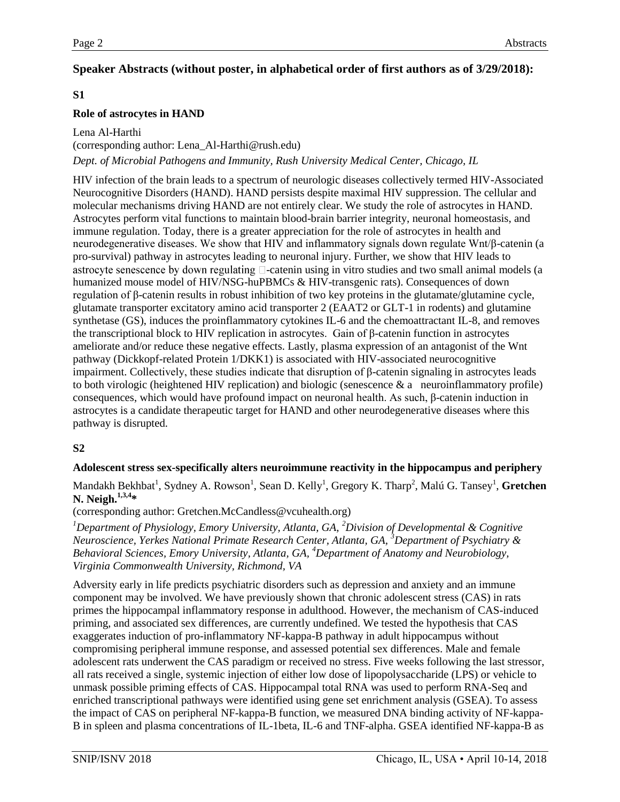# **Speaker Abstracts (without poster, in alphabetical order of first authors as of 3/29/2018):**

# **S1**

### **Role of astrocytes in HAND**

Lena Al-Harthi (corresponding author: Lena\_Al-Harthi@rush.edu) *Dept. of Microbial Pathogens and Immunity, Rush University Medical Center, Chicago, IL*

HIV infection of the brain leads to a spectrum of neurologic diseases collectively termed HIV-Associated Neurocognitive Disorders (HAND). HAND persists despite maximal HIV suppression. The cellular and molecular mechanisms driving HAND are not entirely clear. We study the role of astrocytes in HAND. Astrocytes perform vital functions to maintain blood-brain barrier integrity, neuronal homeostasis, and immune regulation. Today, there is a greater appreciation for the role of astrocytes in health and neurodegenerative diseases. We show that HIV and inflammatory signals down regulate Wnt/β-catenin (a pro-survival) pathway in astrocytes leading to neuronal injury. Further, we show that HIV leads to astrocyte senescence by down regulating  $\Box$ -catenin using in vitro studies and two small animal models (a humanized mouse model of HIV/NSG-huPBMCs & HIV-transgenic rats). Consequences of down regulation of β-catenin results in robust inhibition of two key proteins in the glutamate/glutamine cycle, glutamate transporter excitatory amino acid transporter 2 (EAAT2 or GLT-1 in rodents) and glutamine synthetase (GS), induces the proinflammatory cytokines IL-6 and the chemoattractant IL-8, and removes the transcriptional block to HIV replication in astrocytes. Gain of β-catenin function in astrocytes ameliorate and/or reduce these negative effects. Lastly, plasma expression of an antagonist of the Wnt pathway (Dickkopf-related Protein 1/DKK1) is associated with HIV-associated neurocognitive impairment. Collectively, these studies indicate that disruption of β-catenin signaling in astrocytes leads to both virologic (heightened HIV replication) and biologic (senescence & a neuroinflammatory profile) consequences, which would have profound impact on neuronal health. As such, β-catenin induction in astrocytes is a candidate therapeutic target for HAND and other neurodegenerative diseases where this pathway is disrupted.

# **S2**

#### **Adolescent stress sex-specifically alters neuroimmune reactivity in the hippocampus and periphery**

Mandakh Bekhbat<sup>1</sup>, Sydney A. Rowson<sup>1</sup>, Sean D. Kelly<sup>1</sup>, Gregory K. Tharp<sup>2</sup>, Malú G. Tansey<sup>1</sup>, **Gretchen N. Neigh.1,3,4\***

(corresponding author: Gretchen.McCandless@vcuhealth.org)

*<sup>1</sup>Department of Physiology, Emory University, Atlanta, GA, <sup>2</sup>Division of Developmental & Cognitive Neuroscience, Yerkes National Primate Research Center, Atlanta, GA, <sup>3</sup>Department of Psychiatry & Behavioral Sciences, Emory University, Atlanta, GA, <sup>4</sup>Department of Anatomy and Neurobiology, Virginia Commonwealth University, Richmond, VA*

Adversity early in life predicts psychiatric disorders such as depression and anxiety and an immune component may be involved. We have previously shown that chronic adolescent stress (CAS) in rats primes the hippocampal inflammatory response in adulthood. However, the mechanism of CAS-induced priming, and associated sex differences, are currently undefined. We tested the hypothesis that CAS exaggerates induction of pro-inflammatory NF-kappa-B pathway in adult hippocampus without compromising peripheral immune response, and assessed potential sex differences. Male and female adolescent rats underwent the CAS paradigm or received no stress. Five weeks following the last stressor, all rats received a single, systemic injection of either low dose of lipopolysaccharide (LPS) or vehicle to unmask possible priming effects of CAS. Hippocampal total RNA was used to perform RNA-Seq and enriched transcriptional pathways were identified using gene set enrichment analysis (GSEA). To assess the impact of CAS on peripheral NF-kappa-B function, we measured DNA binding activity of NF-kappa-B in spleen and plasma concentrations of IL-1beta, IL-6 and TNF-alpha. GSEA identified NF-kappa-B as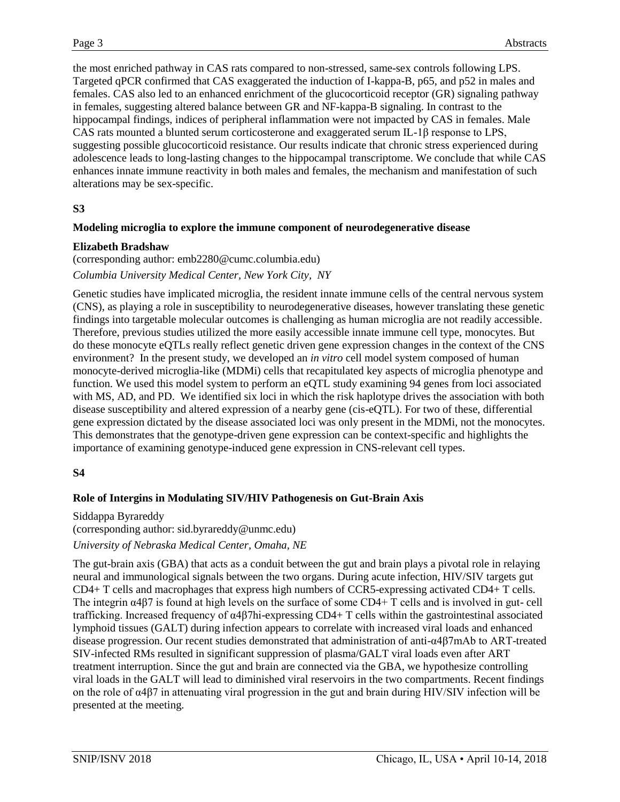the most enriched pathway in CAS rats compared to non-stressed, same-sex controls following LPS. Targeted qPCR confirmed that CAS exaggerated the induction of I-kappa-B, p65, and p52 in males and females. CAS also led to an enhanced enrichment of the glucocorticoid receptor (GR) signaling pathway in females, suggesting altered balance between GR and NF-kappa-B signaling. In contrast to the hippocampal findings, indices of peripheral inflammation were not impacted by CAS in females. Male CAS rats mounted a blunted serum corticosterone and exaggerated serum IL-1β response to LPS, suggesting possible glucocorticoid resistance. Our results indicate that chronic stress experienced during adolescence leads to long-lasting changes to the hippocampal transcriptome. We conclude that while CAS enhances innate immune reactivity in both males and females, the mechanism and manifestation of such alterations may be sex-specific.

# **S3**

#### **Modeling microglia to explore the immune component of neurodegenerative disease**

#### **Elizabeth Bradshaw**

(corresponding author: emb2280@cumc.columbia.edu) *Columbia University Medical Center, New York City, NY*

Genetic studies have implicated microglia, the resident innate immune cells of the central nervous system (CNS), as playing a role in susceptibility to neurodegenerative diseases, however translating these genetic findings into targetable molecular outcomes is challenging as human microglia are not readily accessible. Therefore, previous studies utilized the more easily accessible innate immune cell type, monocytes. But do these monocyte eQTLs really reflect genetic driven gene expression changes in the context of the CNS environment? In the present study, we developed an *in vitro* cell model system composed of human monocyte-derived microglia-like (MDMi) cells that recapitulated key aspects of microglia phenotype and function. We used this model system to perform an eQTL study examining 94 genes from loci associated with MS, AD, and PD. We identified six loci in which the risk haplotype drives the association with both disease susceptibility and altered expression of a nearby gene (cis-eQTL). For two of these, differential gene expression dictated by the disease associated loci was only present in the MDMi, not the monocytes. This demonstrates that the genotype-driven gene expression can be context-specific and highlights the importance of examining genotype-induced gene expression in CNS-relevant cell types.

# **S4**

# **Role of Intergins in Modulating SIV/HIV Pathogenesis on Gut-Brain Axis**

Siddappa Byrareddy (corresponding author: sid.byrareddy@unmc.edu) *University of Nebraska Medical Center, Omaha, NE*

The gut-brain axis (GBA) that acts as a conduit between the gut and brain plays a pivotal role in relaying neural and immunological signals between the two organs. During acute infection, HIV/SIV targets gut CD4+ T cells and macrophages that express high numbers of CCR5-expressing activated CD4+ T cells. The integrin α4β7 is found at high levels on the surface of some CD4+ T cells and is involved in gut- cell trafficking. Increased frequency of α4β7hi-expressing CD4+ T cells within the gastrointestinal associated lymphoid tissues (GALT) during infection appears to correlate with increased viral loads and enhanced disease progression. Our recent studies demonstrated that administration of anti-α4β7mAb to ART-treated SIV-infected RMs resulted in significant suppression of plasma/GALT viral loads even after ART treatment interruption. Since the gut and brain are connected via the GBA, we hypothesize controlling viral loads in the GALT will lead to diminished viral reservoirs in the two compartments. Recent findings on the role of α4β7 in attenuating viral progression in the gut and brain during HIV/SIV infection will be presented at the meeting.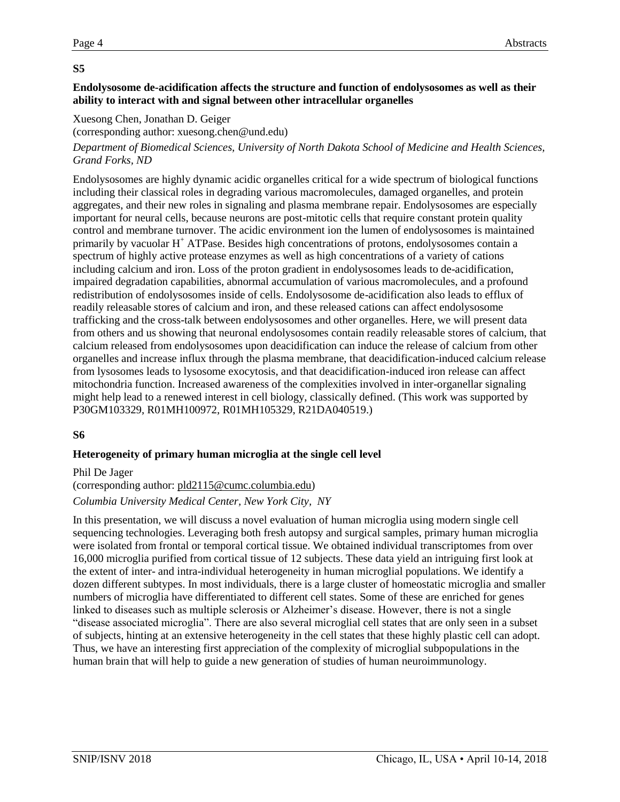# **Endolysosome de-acidification affects the structure and function of endolysosomes as well as their ability to interact with and signal between other intracellular organelles**

# Xuesong Chen, Jonathan D. Geiger

(corresponding author: xuesong.chen@und.edu)

### *Department of Biomedical Sciences, University of North Dakota School of Medicine and Health Sciences, Grand Forks, ND*

Endolysosomes are highly dynamic acidic organelles critical for a wide spectrum of biological functions including their classical roles in degrading various macromolecules, damaged organelles, and protein aggregates, and their new roles in signaling and plasma membrane repair. Endolysosomes are especially important for neural cells, because neurons are post-mitotic cells that require constant protein quality control and membrane turnover. The acidic environment ion the lumen of endolysosomes is maintained primarily by vacuolar  $H^+$  ATPase. Besides high concentrations of protons, endolysosomes contain a spectrum of highly active protease enzymes as well as high concentrations of a variety of cations including calcium and iron. Loss of the proton gradient in endolysosomes leads to de-acidification, impaired degradation capabilities, abnormal accumulation of various macromolecules, and a profound redistribution of endolysosomes inside of cells. Endolysosome de-acidification also leads to efflux of readily releasable stores of calcium and iron, and these released cations can affect endolysosome trafficking and the cross-talk between endolysosomes and other organelles. Here, we will present data from others and us showing that neuronal endolysosomes contain readily releasable stores of calcium, that calcium released from endolysosomes upon deacidification can induce the release of calcium from other organelles and increase influx through the plasma membrane, that deacidification-induced calcium release from lysosomes leads to lysosome exocytosis, and that deacidification-induced iron release can affect mitochondria function. Increased awareness of the complexities involved in inter-organellar signaling might help lead to a renewed interest in cell biology, classically defined. (This work was supported by P30GM103329, R01MH100972, R01MH105329, R21DA040519.)

# **S6**

# **Heterogeneity of primary human microglia at the single cell level**

#### Phil De Jager

# (corresponding author: [pld2115@cumc.columbia.edu\)](mailto:pld2115@cumc.columbia.edu) *Columbia University Medical Center, New York City, NY*

In this presentation, we will discuss a novel evaluation of human microglia using modern single cell sequencing technologies. Leveraging both fresh autopsy and surgical samples, primary human microglia were isolated from frontal or temporal cortical tissue. We obtained individual transcriptomes from over 16,000 microglia purified from cortical tissue of 12 subjects. These data yield an intriguing first look at the extent of inter- and intra-individual heterogeneity in human microglial populations. We identify a dozen different subtypes. In most individuals, there is a large cluster of homeostatic microglia and smaller numbers of microglia have differentiated to different cell states. Some of these are enriched for genes linked to diseases such as multiple sclerosis or Alzheimer's disease. However, there is not a single "disease associated microglia". There are also several microglial cell states that are only seen in a subset of subjects, hinting at an extensive heterogeneity in the cell states that these highly plastic cell can adopt. Thus, we have an interesting first appreciation of the complexity of microglial subpopulations in the human brain that will help to guide a new generation of studies of human neuroimmunology.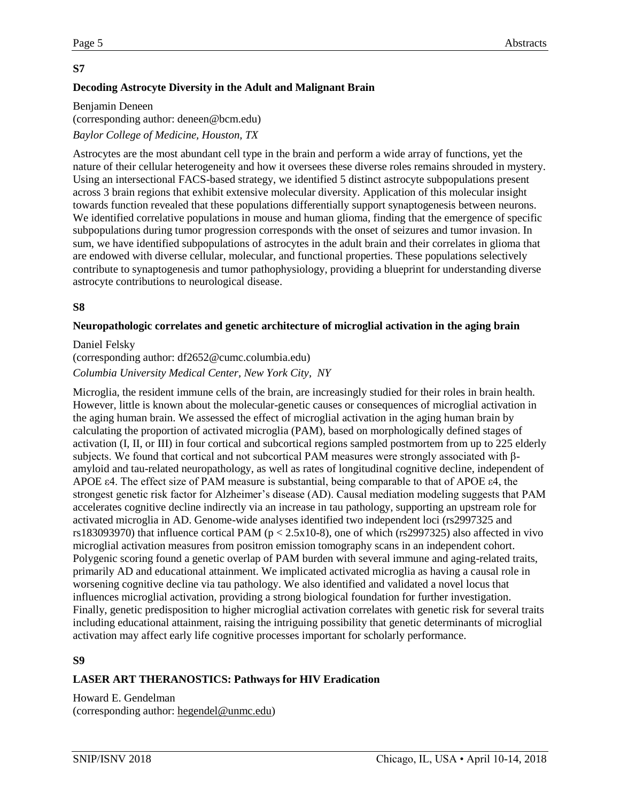# **Decoding Astrocyte Diversity in the Adult and Malignant Brain**

Benjamin Deneen (corresponding author: deneen@bcm.edu) *Baylor College of Medicine, Houston, TX*

Astrocytes are the most abundant cell type in the brain and perform a wide array of functions, yet the nature of their cellular heterogeneity and how it oversees these diverse roles remains shrouded in mystery. Using an intersectional FACS-based strategy, we identified 5 distinct astrocyte subpopulations present across 3 brain regions that exhibit extensive molecular diversity. Application of this molecular insight towards function revealed that these populations differentially support synaptogenesis between neurons. We identified correlative populations in mouse and human glioma, finding that the emergence of specific subpopulations during tumor progression corresponds with the onset of seizures and tumor invasion. In sum, we have identified subpopulations of astrocytes in the adult brain and their correlates in glioma that are endowed with diverse cellular, molecular, and functional properties. These populations selectively contribute to synaptogenesis and tumor pathophysiology, providing a blueprint for understanding diverse astrocyte contributions to neurological disease.

# **S8**

#### **Neuropathologic correlates and genetic architecture of microglial activation in the aging brain**

#### Daniel Felsky

#### (corresponding author: df2652@cumc.columbia.edu)

#### *Columbia University Medical Center, New York City, NY*

Microglia, the resident immune cells of the brain, are increasingly studied for their roles in brain health. However, little is known about the molecular-genetic causes or consequences of microglial activation in the aging human brain. We assessed the effect of microglial activation in the aging human brain by calculating the proportion of activated microglia (PAM), based on morphologically defined stages of activation (I, II, or III) in four cortical and subcortical regions sampled postmortem from up to 225 elderly subjects. We found that cortical and not subcortical PAM measures were strongly associated with βamyloid and tau-related neuropathology, as well as rates of longitudinal cognitive decline, independent of APOE ε4. The effect size of PAM measure is substantial, being comparable to that of APOE ε4, the strongest genetic risk factor for Alzheimer's disease (AD). Causal mediation modeling suggests that PAM accelerates cognitive decline indirectly via an increase in tau pathology, supporting an upstream role for activated microglia in AD. Genome-wide analyses identified two independent loci (rs2997325 and rs183093970) that influence cortical PAM ( $p < 2.5x10-8$ ), one of which (rs2997325) also affected in vivo microglial activation measures from positron emission tomography scans in an independent cohort. Polygenic scoring found a genetic overlap of PAM burden with several immune and aging-related traits, primarily AD and educational attainment. We implicated activated microglia as having a causal role in worsening cognitive decline via tau pathology. We also identified and validated a novel locus that influences microglial activation, providing a strong biological foundation for further investigation. Finally, genetic predisposition to higher microglial activation correlates with genetic risk for several traits including educational attainment, raising the intriguing possibility that genetic determinants of microglial activation may affect early life cognitive processes important for scholarly performance.

# **S9**

# **LASER ART THERANOSTICS: Pathways for HIV Eradication**

Howard E. Gendelman (corresponding author: [hegendel@unmc.edu\)](https://mail.medsch.ucr.edu/owa/redir.aspx?C=PRd65ZtR7ltyPt5ct2VB1qN_RyWN95gBD-OwrNA70_czC4ev_ZXVCA..&URL=mailto%3ajanet.guthmiller%40unmc.edu)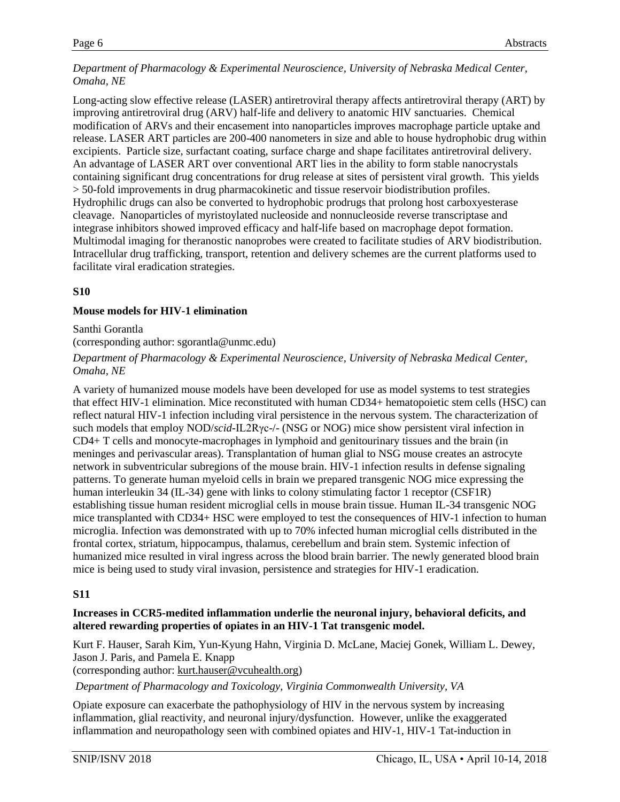#### *Department of Pharmacology & Experimental Neuroscience, University of Nebraska Medical Center, Omaha, NE*

Long-acting slow effective release (LASER) antiretroviral therapy affects antiretroviral therapy (ART) by improving antiretroviral drug (ARV) half-life and delivery to anatomic HIV sanctuaries. Chemical modification of ARVs and their encasement into nanoparticles improves macrophage particle uptake and release. LASER ART particles are 200-400 nanometers in size and able to house hydrophobic drug within excipients. Particle size, surfactant coating, surface charge and shape facilitates antiretroviral delivery. An advantage of LASER ART over conventional ART lies in the ability to form stable nanocrystals containing significant drug concentrations for drug release at sites of persistent viral growth. This yields > 50-fold improvements in drug pharmacokinetic and tissue reservoir biodistribution profiles. Hydrophilic drugs can also be converted to hydrophobic prodrugs that prolong host carboxyesterase cleavage. Nanoparticles of myristoylated nucleoside and nonnucleoside reverse transcriptase and integrase inhibitors showed improved efficacy and half-life based on macrophage depot formation. Multimodal imaging for theranostic nanoprobes were created to facilitate studies of ARV biodistribution. Intracellular drug trafficking, transport, retention and delivery schemes are the current platforms used to facilitate viral eradication strategies.

# **S10**

# **Mouse models for HIV-1 elimination**

Santhi Gorantla

(corresponding author: sgorantla@unmc.edu)

*Department of Pharmacology & Experimental Neuroscience, University of Nebraska Medical Center, Omaha, NE*

A variety of humanized mouse models have been developed for use as model systems to test strategies that effect HIV-1 elimination. Mice reconstituted with human CD34+ hematopoietic stem cells (HSC) can reflect natural HIV-1 infection including viral persistence in the nervous system. The characterization of such models that employ NOD/*scid*-IL2Rγc-/- (NSG or NOG) mice show persistent viral infection in CD4+ T cells and monocyte-macrophages in lymphoid and genitourinary tissues and the brain (in meninges and perivascular areas). Transplantation of human glial to NSG mouse creates an astrocyte network in subventricular subregions of the mouse brain. HIV-1 infection results in defense signaling patterns. To generate human myeloid cells in brain we prepared transgenic NOG mice expressing the human interleukin 34 (IL-34) gene with links to colony stimulating factor 1 receptor (CSF1R) establishing tissue human resident microglial cells in mouse brain tissue. Human IL-34 transgenic NOG mice transplanted with CD34+ HSC were employed to test the consequences of HIV-1 infection to human microglia. Infection was demonstrated with up to 70% infected human microglial cells distributed in the frontal cortex, striatum, hippocampus, thalamus, cerebellum and brain stem. Systemic infection of humanized mice resulted in viral ingress across the blood brain barrier. The newly generated blood brain mice is being used to study viral invasion, persistence and strategies for HIV-1 eradication.

# **S11**

# **Increases in CCR5-medited inflammation underlie the neuronal injury, behavioral deficits, and altered rewarding properties of opiates in an HIV-1 Tat transgenic model.**

Kurt F. Hauser, Sarah Kim, Yun-Kyung Hahn, Virginia D. McLane, Maciej Gonek, William L. Dewey, Jason J. Paris, and Pamela E. Knapp

(corresponding author: [kurt.hauser@vcuhealth.org\)](mailto:kurt.hauser@vcuhealth.org)

*Department of Pharmacology and Toxicology, Virginia Commonwealth University, VA*

Opiate exposure can exacerbate the pathophysiology of HIV in the nervous system by increasing inflammation, glial reactivity, and neuronal injury/dysfunction. However, unlike the exaggerated inflammation and neuropathology seen with combined opiates and HIV-1, HIV-1 Tat-induction in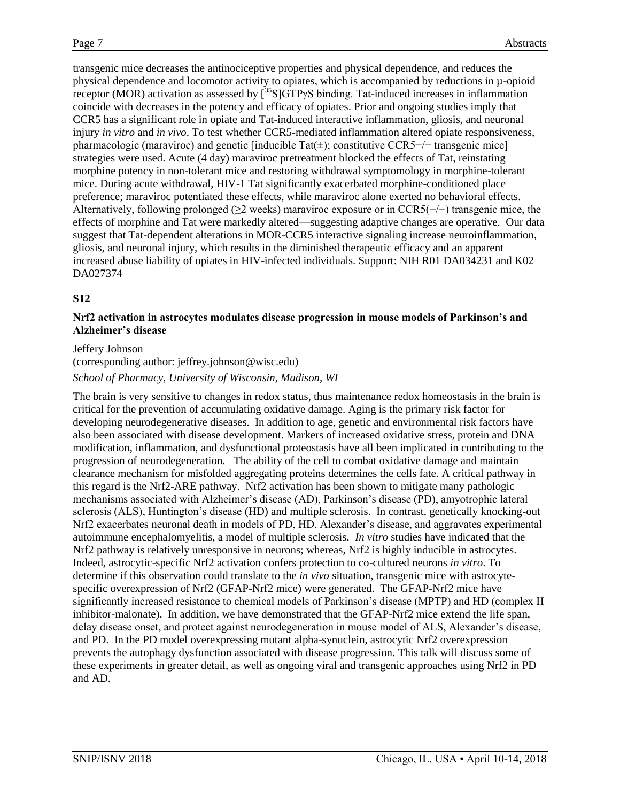transgenic mice decreases the antinociceptive properties and physical dependence, and reduces the physical dependence and locomotor activity to opiates, which is accompanied by reductions in µ-opioid receptor (MOR) activation as assessed by  $\left[^{35}S\right]GTP\gamma S$  binding. Tat-induced increases in inflammation coincide with decreases in the potency and efficacy of opiates. Prior and ongoing studies imply that CCR5 has a significant role in opiate and Tat-induced interactive inflammation, gliosis, and neuronal injury *in vitro* and *in vivo*. To test whether CCR5-mediated inflammation altered opiate responsiveness, pharmacologic (maraviroc) and genetic [inducible Tat(±); constitutive CCR5−/− transgenic mice] strategies were used. Acute (4 day) maraviroc pretreatment blocked the effects of Tat, reinstating morphine potency in non-tolerant mice and restoring withdrawal symptomology in morphine-tolerant mice. During acute withdrawal, HIV-1 Tat significantly exacerbated morphine-conditioned place preference; maraviroc potentiated these effects, while maraviroc alone exerted no behavioral effects. Alternatively, following prolonged (≥2 weeks) maraviroc exposure or in CCR5(−/−) transgenic mice, the effects of morphine and Tat were markedly altered—suggesting adaptive changes are operative. Our data suggest that Tat-dependent alterations in MOR-CCR5 interactive signaling increase neuroinflammation, gliosis, and neuronal injury, which results in the diminished therapeutic efficacy and an apparent increased abuse liability of opiates in HIV-infected individuals. Support: NIH R01 DA034231 and K02 DA027374

# **S12**

#### **Nrf2 activation in astrocytes modulates disease progression in mouse models of Parkinson's and Alzheimer's disease**

#### Jeffery Johnson

# (corresponding author: jeffrey.johnson@wisc.edu) *School of Pharmacy, University of Wisconsin, Madison, WI*

The brain is very sensitive to changes in redox status, thus maintenance redox homeostasis in the brain is critical for the prevention of accumulating oxidative damage. Aging is the primary risk factor for developing neurodegenerative diseases. In addition to age, genetic and environmental risk factors have also been associated with disease development. Markers of increased oxidative stress, protein and DNA modification, inflammation, and dysfunctional proteostasis have all been implicated in contributing to the progression of neurodegeneration. The ability of the cell to combat oxidative damage and maintain clearance mechanism for misfolded aggregating proteins determines the cells fate. A critical pathway in this regard is the Nrf2-ARE pathway. Nrf2 activation has been shown to mitigate many pathologic mechanisms associated with Alzheimer's disease (AD), Parkinson's disease (PD), amyotrophic lateral sclerosis (ALS), Huntington's disease (HD) and multiple sclerosis. In contrast, genetically knocking-out Nrf2 exacerbates neuronal death in models of PD, HD, Alexander's disease, and aggravates experimental autoimmune encephalomyelitis, a model of multiple sclerosis. *In vitro* studies have indicated that the Nrf2 pathway is relatively unresponsive in neurons; whereas, Nrf2 is highly inducible in astrocytes. Indeed, astrocytic-specific Nrf2 activation confers protection to co-cultured neurons *in vitro*. To determine if this observation could translate to the *in vivo* situation, transgenic mice with astrocytespecific overexpression of Nrf2 (GFAP-Nrf2 mice) were generated. The GFAP-Nrf2 mice have significantly increased resistance to chemical models of Parkinson's disease (MPTP) and HD (complex II inhibitor-malonate). In addition, we have demonstrated that the GFAP-Nrf2 mice extend the life span, delay disease onset, and protect against neurodegeneration in mouse model of ALS, Alexander's disease, and PD. In the PD model overexpressing mutant alpha-synuclein, astrocytic Nrf2 overexpression prevents the autophagy dysfunction associated with disease progression. This talk will discuss some of these experiments in greater detail, as well as ongoing viral and transgenic approaches using Nrf2 in PD and AD.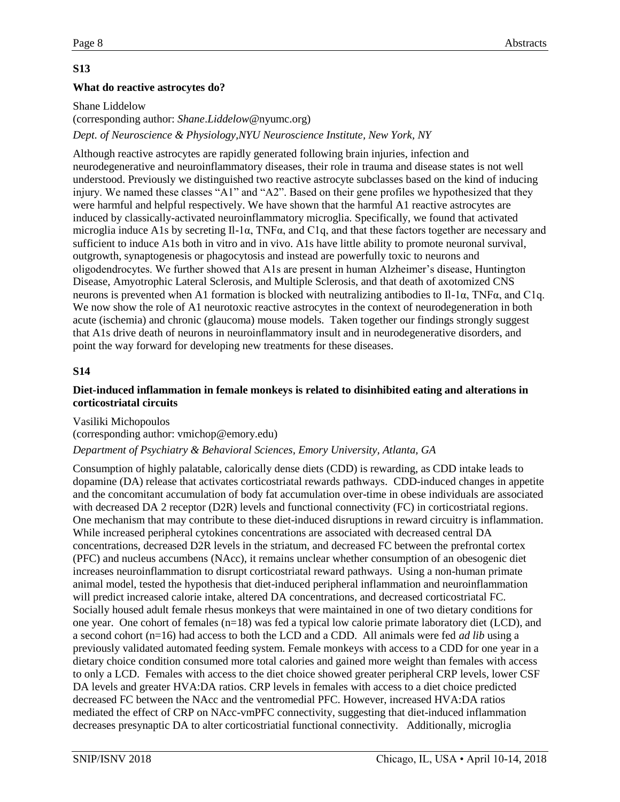### **What do reactive astrocytes do?**

Shane Liddelow (corresponding author: *Shane*.*Liddelow*@nyumc.org) *Dept. of Neuroscience & Physiology,NYU Neuroscience Institute, New York, NY*

Although reactive astrocytes are rapidly generated following brain injuries, infection and neurodegenerative and neuroinflammatory diseases, their role in trauma and disease states is not well understood. Previously we distinguished two reactive astrocyte subclasses based on the kind of inducing injury. We named these classes "A1" and "A2". Based on their gene profiles we hypothesized that they were harmful and helpful respectively. We have shown that the harmful A1 reactive astrocytes are induced by classically-activated neuroinflammatory microglia. Specifically, we found that activated microglia induce A1s by secreting Il-1α, TNFα, and C1q, and that these factors together are necessary and sufficient to induce A1s both in vitro and in vivo. A1s have little ability to promote neuronal survival, outgrowth, synaptogenesis or phagocytosis and instead are powerfully toxic to neurons and oligodendrocytes. We further showed that A1s are present in human Alzheimer's disease, Huntington Disease, Amyotrophic Lateral Sclerosis, and Multiple Sclerosis, and that death of axotomized CNS neurons is prevented when A1 formation is blocked with neutralizing antibodies to Il-1α, TNFα, and C1q. We now show the role of A1 neurotoxic reactive astrocytes in the context of neurodegeneration in both acute (ischemia) and chronic (glaucoma) mouse models. Taken together our findings strongly suggest that A1s drive death of neurons in neuroinflammatory insult and in neurodegenerative disorders, and point the way forward for developing new treatments for these diseases.

# **S14**

#### **Diet-induced inflammation in female monkeys is related to disinhibited eating and alterations in corticostriatal circuits**

Vasiliki Michopoulos

(corresponding author: vmichop@emory.edu)

#### *Department of Psychiatry & Behavioral Sciences, Emory University, Atlanta, GA*

Consumption of highly palatable, calorically dense diets (CDD) is rewarding, as CDD intake leads to dopamine (DA) release that activates corticostriatal rewards pathways. CDD-induced changes in appetite and the concomitant accumulation of body fat accumulation over-time in obese individuals are associated with decreased DA 2 receptor (D2R) levels and functional connectivity (FC) in corticostriatal regions. One mechanism that may contribute to these diet-induced disruptions in reward circuitry is inflammation. While increased peripheral cytokines concentrations are associated with decreased central DA concentrations, decreased D2R levels in the striatum, and decreased FC between the prefrontal cortex (PFC) and nucleus accumbens (NAcc), it remains unclear whether consumption of an obesogenic diet increases neuroinflammation to disrupt corticostriatal reward pathways. Using a non-human primate animal model, tested the hypothesis that diet-induced peripheral inflammation and neuroinflammation will predict increased calorie intake, altered DA concentrations, and decreased corticostriatal FC. Socially housed adult female rhesus monkeys that were maintained in one of two dietary conditions for one year. One cohort of females (n=18) was fed a typical low calorie primate laboratory diet (LCD), and a second cohort (n=16) had access to both the LCD and a CDD. All animals were fed *ad lib* using a previously validated automated feeding system. Female monkeys with access to a CDD for one year in a dietary choice condition consumed more total calories and gained more weight than females with access to only a LCD. Females with access to the diet choice showed greater peripheral CRP levels, lower CSF DA levels and greater HVA:DA ratios. CRP levels in females with access to a diet choice predicted decreased FC between the NAcc and the ventromedial PFC. However, increased HVA:DA ratios mediated the effect of CRP on NAcc-vmPFC connectivity, suggesting that diet-induced inflammation decreases presynaptic DA to alter corticostriatial functional connectivity. Additionally, microglia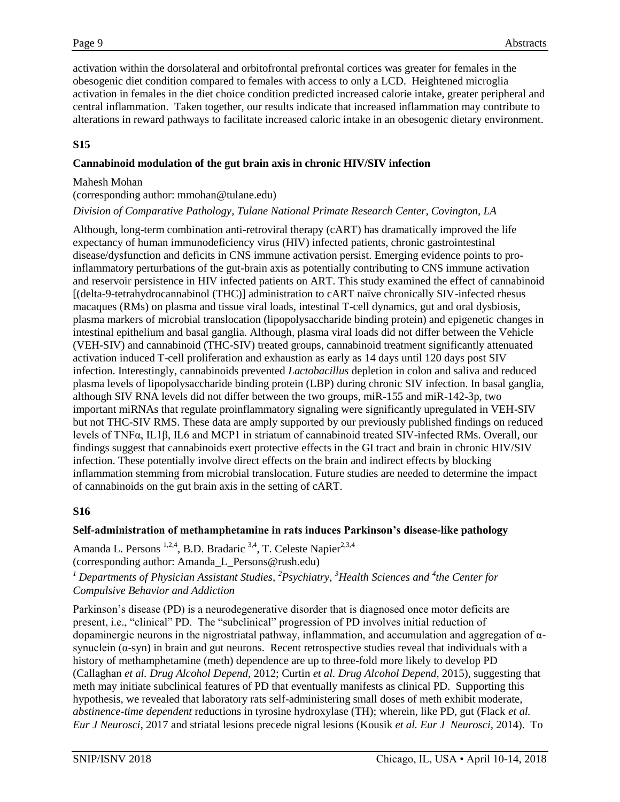activation within the dorsolateral and orbitofrontal prefrontal cortices was greater for females in the obesogenic diet condition compared to females with access to only a LCD. Heightened microglia activation in females in the diet choice condition predicted increased calorie intake, greater peripheral and central inflammation. Taken together, our results indicate that increased inflammation may contribute to alterations in reward pathways to facilitate increased caloric intake in an obesogenic dietary environment.

# **S15**

#### **Cannabinoid modulation of the gut brain axis in chronic HIV/SIV infection**

#### Mahesh Mohan

(corresponding author: mmohan@tulane.edu)

#### *Division of Comparative Pathology, Tulane National Primate Research Center, Covington, LA*

Although, long-term combination anti-retroviral therapy (cART) has dramatically improved the life expectancy of human immunodeficiency virus (HIV) infected patients, chronic gastrointestinal disease/dysfunction and deficits in CNS immune activation persist. Emerging evidence points to proinflammatory perturbations of the gut-brain axis as potentially contributing to CNS immune activation and reservoir persistence in HIV infected patients on ART. This study examined the effect of cannabinoid [(delta-9-tetrahydrocannabinol (THC)] administration to cART naïve chronically SIV-infected rhesus macaques (RMs) on plasma and tissue viral loads, intestinal T-cell dynamics, gut and oral dysbiosis, plasma markers of microbial translocation (lipopolysaccharide binding protein) and epigenetic changes in intestinal epithelium and basal ganglia. Although, plasma viral loads did not differ between the Vehicle (VEH-SIV) and cannabinoid (THC-SIV) treated groups, cannabinoid treatment significantly attenuated activation induced T-cell proliferation and exhaustion as early as 14 days until 120 days post SIV infection. Interestingly, cannabinoids prevented *Lactobacillus* depletion in colon and saliva and reduced plasma levels of lipopolysaccharide binding protein (LBP) during chronic SIV infection. In basal ganglia, although SIV RNA levels did not differ between the two groups, miR-155 and miR-142-3p, two important miRNAs that regulate proinflammatory signaling were significantly upregulated in VEH-SIV but not THC-SIV RMS. These data are amply supported by our previously published findings on reduced levels of TNFα, IL1β, IL6 and MCP1 in striatum of cannabinoid treated SIV-infected RMs. Overall, our findings suggest that cannabinoids exert protective effects in the GI tract and brain in chronic HIV/SIV infection. These potentially involve direct effects on the brain and indirect effects by blocking inflammation stemming from microbial translocation. Future studies are needed to determine the impact of cannabinoids on the gut brain axis in the setting of cART.

# **S16**

# **Self-administration of methamphetamine in rats induces Parkinson's disease-like pathology**

Amanda L. Persons<sup>1,2,4</sup>, B.D. Bradaric<sup>3,4</sup>, T. Celeste Napier<sup>2,3,4</sup> (corresponding author: Amanda\_L\_Persons@rush.edu)

*<sup>1</sup> Departments of Physician Assistant Studies, <sup>2</sup>Psychiatry, <sup>3</sup>Health Sciences and <sup>4</sup> the Center for Compulsive Behavior and Addiction*

Parkinson's disease (PD) is a neurodegenerative disorder that is diagnosed once motor deficits are present, i.e., "clinical" PD. The "subclinical" progression of PD involves initial reduction of dopaminergic neurons in the nigrostriatal pathway, inflammation, and accumulation and aggregation of αsynuclein  $(\alpha$ -syn) in brain and gut neurons. Recent retrospective studies reveal that individuals with a history of methamphetamine (meth) dependence are up to three-fold more likely to develop PD (Callaghan *et al. Drug Alcohol Depend*, 2012; Curtin *et al. Drug Alcohol Depend*, 2015), suggesting that meth may initiate subclinical features of PD that eventually manifests as clinical PD. Supporting this hypothesis, we revealed that laboratory rats self-administering small doses of meth exhibit moderate, *abstinence-time dependent* reductions in tyrosine hydroxylase (TH); wherein, like PD, gut (Flack *et al. Eur J Neurosci*, 2017 and striatal lesions precede nigral lesions (Kousik *et al. Eur J Neurosci,* 2014). To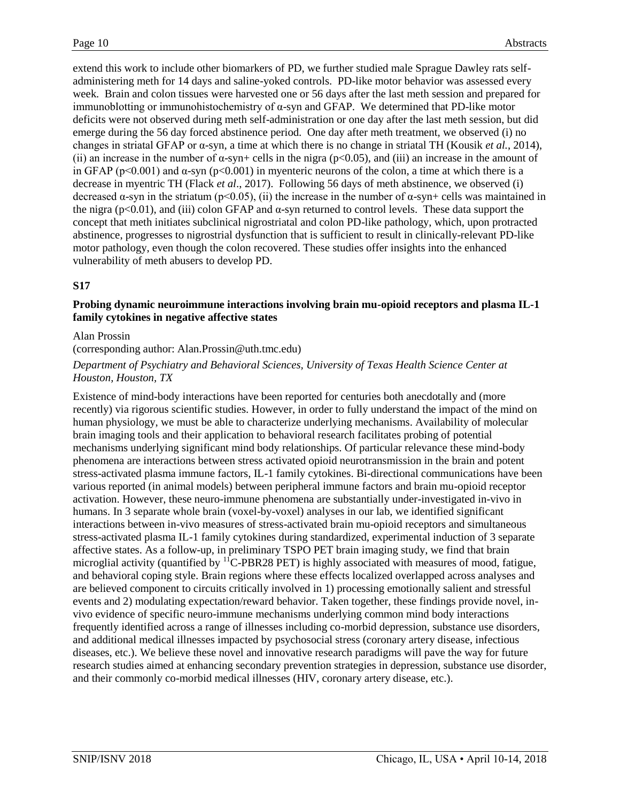extend this work to include other biomarkers of PD, we further studied male Sprague Dawley rats selfadministering meth for 14 days and saline-yoked controls. PD-like motor behavior was assessed every week. Brain and colon tissues were harvested one or 56 days after the last meth session and prepared for immunoblotting or immunohistochemistry of α-syn and GFAP. We determined that PD-like motor deficits were not observed during meth self-administration or one day after the last meth session, but did emerge during the 56 day forced abstinence period. One day after meth treatment, we observed (i) no changes in striatal GFAP or α-syn, a time at which there is no change in striatal TH (Kousik *et al.*, 2014), (ii) an increase in the number of  $\alpha$ -syn+ cells in the nigra (p<0.05), and (iii) an increase in the amount of in GFAP (p<0.001) and  $\alpha$ -syn (p<0.001) in myenteric neurons of the colon, a time at which there is a decrease in myentric TH (Flack *et al*., 2017). Following 56 days of meth abstinence, we observed (i) decreased  $\alpha$ -syn in the striatum (p<0.05), (ii) the increase in the number of  $\alpha$ -syn+ cells was maintained in the nigra ( $p<0.01$ ), and (iii) colon GFAP and  $\alpha$ -syn returned to control levels. These data support the concept that meth initiates subclinical nigrostriatal and colon PD-like pathology, which, upon protracted abstinence, progresses to nigrostrial dysfunction that is sufficient to result in clinically-relevant PD-like motor pathology, even though the colon recovered. These studies offer insights into the enhanced vulnerability of meth abusers to develop PD.

#### **S17**

#### **Probing dynamic neuroimmune interactions involving brain mu-opioid receptors and plasma IL-1 family cytokines in negative affective states**

#### Alan Prossin

(corresponding author: Alan.Prossin@uth.tmc.edu)

#### *Department of Psychiatry and Behavioral Sciences, University of Texas Health Science Center at Houston, Houston, TX*

Existence of mind-body interactions have been reported for centuries both anecdotally and (more recently) via rigorous scientific studies. However, in order to fully understand the impact of the mind on human physiology, we must be able to characterize underlying mechanisms. Availability of molecular brain imaging tools and their application to behavioral research facilitates probing of potential mechanisms underlying significant mind body relationships. Of particular relevance these mind-body phenomena are interactions between stress activated opioid neurotransmission in the brain and potent stress-activated plasma immune factors, IL-1 family cytokines. Bi-directional communications have been various reported (in animal models) between peripheral immune factors and brain mu-opioid receptor activation. However, these neuro-immune phenomena are substantially under-investigated in-vivo in humans. In 3 separate whole brain (voxel-by-voxel) analyses in our lab, we identified significant interactions between in-vivo measures of stress-activated brain mu-opioid receptors and simultaneous stress-activated plasma IL-1 family cytokines during standardized, experimental induction of 3 separate affective states. As a follow-up, in preliminary TSPO PET brain imaging study, we find that brain microglial activity (quantified by <sup>11</sup>C-PBR28 PET) is highly associated with measures of mood, fatigue, and behavioral coping style. Brain regions where these effects localized overlapped across analyses and are believed component to circuits critically involved in 1) processing emotionally salient and stressful events and 2) modulating expectation/reward behavior. Taken together, these findings provide novel, invivo evidence of specific neuro-immune mechanisms underlying common mind body interactions frequently identified across a range of illnesses including co-morbid depression, substance use disorders, and additional medical illnesses impacted by psychosocial stress (coronary artery disease, infectious diseases, etc.). We believe these novel and innovative research paradigms will pave the way for future research studies aimed at enhancing secondary prevention strategies in depression, substance use disorder, and their commonly co-morbid medical illnesses (HIV, coronary artery disease, etc.).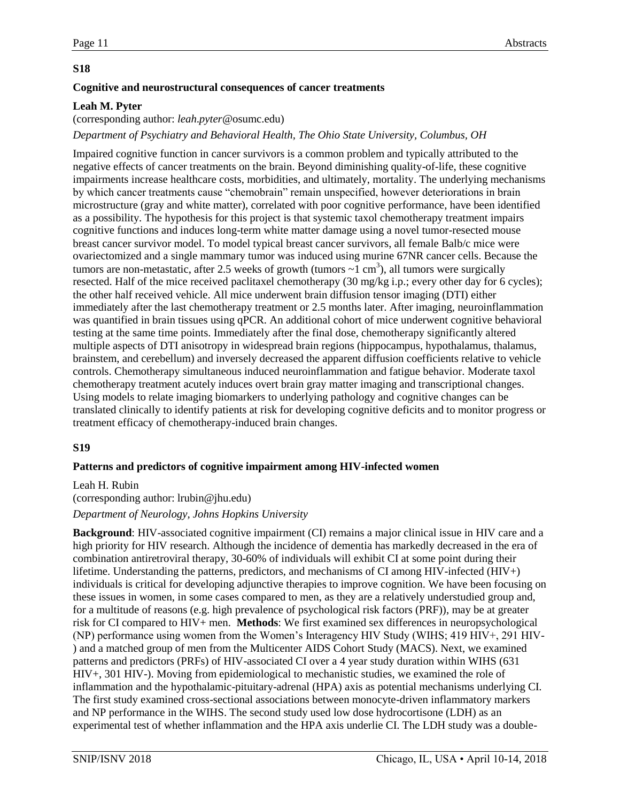#### **Cognitive and neurostructural consequences of cancer treatments**

#### **Leah M. Pyter**

(corresponding author: *leah*.*pyter*@osumc.edu)

*Department of Psychiatry and Behavioral Health, The Ohio State University, Columbus, OH*

Impaired cognitive function in cancer survivors is a common problem and typically attributed to the negative effects of cancer treatments on the brain. Beyond diminishing quality-of-life, these cognitive impairments increase healthcare costs, morbidities, and ultimately, mortality. The underlying mechanisms by which cancer treatments cause "chemobrain" remain unspecified, however deteriorations in brain microstructure (gray and white matter), correlated with poor cognitive performance, have been identified as a possibility. The hypothesis for this project is that systemic taxol chemotherapy treatment impairs cognitive functions and induces long-term white matter damage using a novel tumor-resected mouse breast cancer survivor model. To model typical breast cancer survivors, all female Balb/c mice were ovariectomized and a single mammary tumor was induced using murine 67NR cancer cells. Because the tumors are non-metastatic, after 2.5 weeks of growth (tumors  $\sim$ 1 cm<sup>3</sup>), all tumors were surgically resected. Half of the mice received paclitaxel chemotherapy (30 mg/kg i.p.; every other day for 6 cycles); the other half received vehicle. All mice underwent brain diffusion tensor imaging (DTI) either immediately after the last chemotherapy treatment or 2.5 months later. After imaging, neuroinflammation was quantified in brain tissues using qPCR. An additional cohort of mice underwent cognitive behavioral testing at the same time points. Immediately after the final dose, chemotherapy significantly altered multiple aspects of DTI anisotropy in widespread brain regions (hippocampus, hypothalamus, thalamus, brainstem, and cerebellum) and inversely decreased the apparent diffusion coefficients relative to vehicle controls. Chemotherapy simultaneous induced neuroinflammation and fatigue behavior. Moderate taxol chemotherapy treatment acutely induces overt brain gray matter imaging and transcriptional changes. Using models to relate imaging biomarkers to underlying pathology and cognitive changes can be translated clinically to identify patients at risk for developing cognitive deficits and to monitor progress or treatment efficacy of chemotherapy-induced brain changes.

#### **S19**

#### **Patterns and predictors of cognitive impairment among HIV-infected women**

#### Leah H. Rubin

# (corresponding author: lrubin@jhu.edu) *Department of Neurology, Johns Hopkins University*

**Background**: HIV-associated cognitive impairment (CI) remains a major clinical issue in HIV care and a high priority for HIV research. Although the incidence of dementia has markedly decreased in the era of combination antiretroviral therapy, 30-60% of individuals will exhibit CI at some point during their lifetime. Understanding the patterns, predictors, and mechanisms of CI among HIV-infected  $(HIV+)$ individuals is critical for developing adjunctive therapies to improve cognition. We have been focusing on these issues in women, in some cases compared to men, as they are a relatively understudied group and, for a multitude of reasons (e.g. high prevalence of psychological risk factors (PRF)), may be at greater risk for CI compared to HIV+ men. **Methods**: We first examined sex differences in neuropsychological (NP) performance using women from the Women's Interagency HIV Study (WIHS; 419 HIV+, 291 HIV- ) and a matched group of men from the Multicenter AIDS Cohort Study (MACS). Next, we examined patterns and predictors (PRFs) of HIV-associated CI over a 4 year study duration within WIHS (631 HIV+, 301 HIV-). Moving from epidemiological to mechanistic studies, we examined the role of inflammation and the hypothalamic-pituitary-adrenal (HPA) axis as potential mechanisms underlying CI. The first study examined cross-sectional associations between monocyte-driven inflammatory markers and NP performance in the WIHS. The second study used low dose hydrocortisone (LDH) as an experimental test of whether inflammation and the HPA axis underlie CI. The LDH study was a double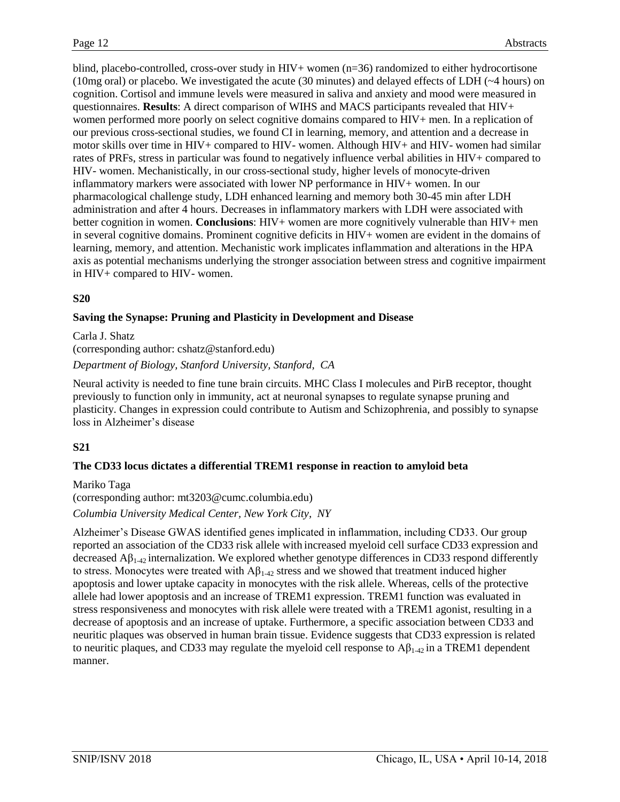blind, placebo-controlled, cross-over study in HIV+ women (n=36) randomized to either hydrocortisone (10mg oral) or placebo. We investigated the acute (30 minutes) and delayed effects of LDH (~4 hours) on cognition. Cortisol and immune levels were measured in saliva and anxiety and mood were measured in questionnaires. **Results**: A direct comparison of WIHS and MACS participants revealed that HIV+ women performed more poorly on select cognitive domains compared to HIV+ men. In a replication of our previous cross-sectional studies, we found CI in learning, memory, and attention and a decrease in motor skills over time in HIV+ compared to HIV- women. Although HIV+ and HIV- women had similar rates of PRFs, stress in particular was found to negatively influence verbal abilities in HIV+ compared to HIV- women. Mechanistically, in our cross-sectional study, higher levels of monocyte-driven inflammatory markers were associated with lower NP performance in HIV+ women. In our pharmacological challenge study, LDH enhanced learning and memory both 30-45 min after LDH administration and after 4 hours. Decreases in inflammatory markers with LDH were associated with better cognition in women. **Conclusions**: HIV+ women are more cognitively vulnerable than HIV+ men in several cognitive domains. Prominent cognitive deficits in HIV+ women are evident in the domains of learning, memory, and attention. Mechanistic work implicates inflammation and alterations in the HPA axis as potential mechanisms underlying the stronger association between stress and cognitive impairment in HIV+ compared to HIV- women.

#### **S20**

#### **Saving the Synapse: Pruning and Plasticity in Development and Disease**

Carla J. Shatz (corresponding author: cshatz@stanford.edu) *Department of Biology, Stanford University, Stanford, CA*

Neural activity is needed to fine tune brain circuits. MHC Class I molecules and PirB receptor, thought previously to function only in immunity, act at neuronal synapses to regulate synapse pruning and plasticity. Changes in expression could contribute to Autism and Schizophrenia, and possibly to synapse loss in Alzheimer's disease

# **S21**

#### **The CD33 locus dictates a differential TREM1 response in reaction to amyloid beta**

Mariko Taga (corresponding author: mt3203@cumc.columbia.edu) *Columbia University Medical Center, New York City, NY*

Alzheimer's Disease GWAS identified genes implicated in inflammation, including CD33. Our group reported an association of the CD33 risk allele with increased myeloid cell surface CD33 expression and decreased  $\mathbf{A}\beta_{1\rightarrow2}$  internalization. We explored whether genotype differences in CD33 respond differently to stress. Monocytes were treated with  $A\beta_{1-42}$  stress and we showed that treatment induced higher apoptosis and lower uptake capacity in monocytes with the risk allele. Whereas, cells of the protective allele had lower apoptosis and an increase of TREM1 expression. TREM1 function was evaluated in stress responsiveness and monocytes with risk allele were treated with a TREM1 agonist, resulting in a decrease of apoptosis and an increase of uptake. Furthermore, a specific association between CD33 and neuritic plaques was observed in human brain tissue. Evidence suggests that CD33 expression is related to neuritic plaques, and CD33 may regulate the myeloid cell response to  $A\beta_{1\text{-}42}$  in a TREM1 dependent manner.